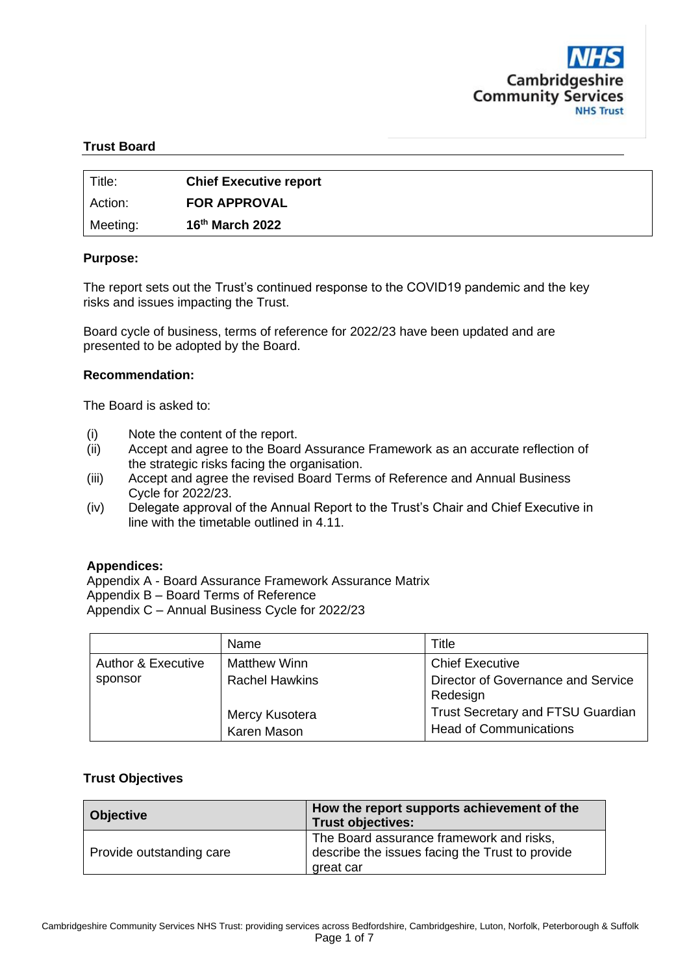

## **Trust Board**

| Title:   | <b>Chief Executive report</b> |
|----------|-------------------------------|
| Action:  | <b>FOR APPROVAL</b>           |
| Meeting: | 16 <sup>th</sup> March 2022   |

#### **Purpose:**

The report sets out the Trust's continued response to the COVID19 pandemic and the key risks and issues impacting the Trust.

Board cycle of business, terms of reference for 2022/23 have been updated and are presented to be adopted by the Board.

#### **Recommendation:**

The Board is asked to:

- (i) Note the content of the report.
- (ii) Accept and agree to the Board Assurance Framework as an accurate reflection of the strategic risks facing the organisation.
- (iii) Accept and agree the revised Board Terms of Reference and Annual Business Cycle for 2022/23.
- (iv) Delegate approval of the Annual Report to the Trust's Chair and Chief Executive in line with the timetable outlined in 4.11.

#### **Appendices:**

Appendix A - Board Assurance Framework Assurance Matrix Appendix B – Board Terms of Reference Appendix C – Annual Business Cycle for 2022/23

|                               | Name                          | Title                                                                     |  |  |  |  |
|-------------------------------|-------------------------------|---------------------------------------------------------------------------|--|--|--|--|
| <b>Author &amp; Executive</b> | <b>Matthew Winn</b>           | <b>Chief Executive</b>                                                    |  |  |  |  |
| sponsor                       | <b>Rachel Hawkins</b>         | Director of Governance and Service<br>Redesign                            |  |  |  |  |
|                               | Mercy Kusotera<br>Karen Mason | <b>Trust Secretary and FTSU Guardian</b><br><b>Head of Communications</b> |  |  |  |  |

#### **Trust Objectives**

| <b>Objective</b>         | How the report supports achievement of the<br><b>Trust objectives:</b>                                   |  |  |  |  |  |  |
|--------------------------|----------------------------------------------------------------------------------------------------------|--|--|--|--|--|--|
| Provide outstanding care | The Board assurance framework and risks,<br>describe the issues facing the Trust to provide<br>great car |  |  |  |  |  |  |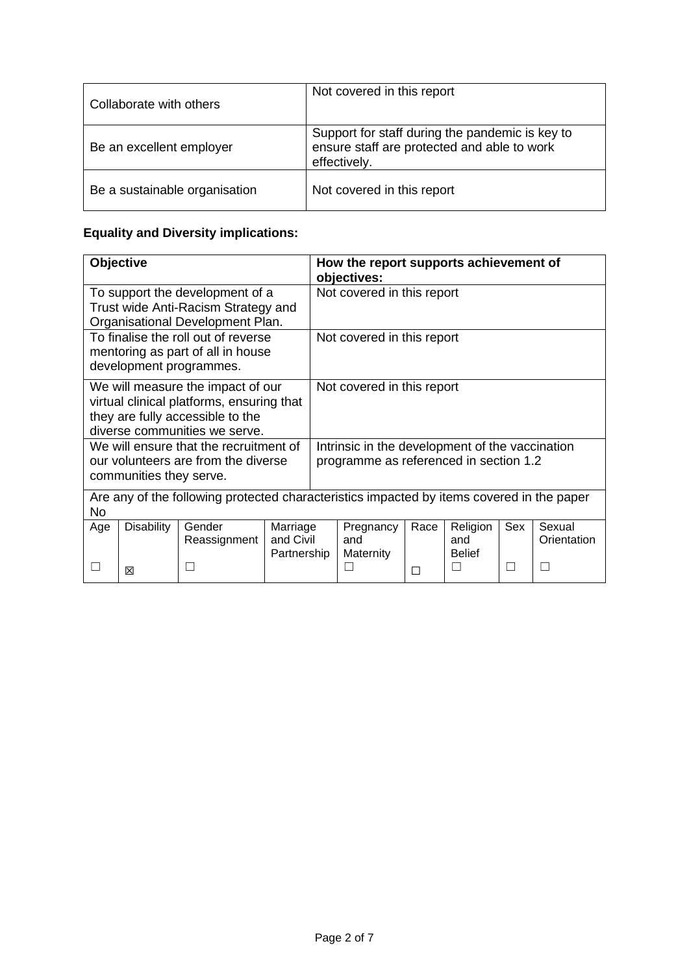| Collaborate with others       | Not covered in this report                                                                                     |
|-------------------------------|----------------------------------------------------------------------------------------------------------------|
| Be an excellent employer      | Support for staff during the pandemic is key to<br>ensure staff are protected and able to work<br>effectively. |
| Be a sustainable organisation | Not covered in this report                                                                                     |

# **Equality and Diversity implications:**

|     | Objective                                                                                 |                                                                                                                                                     |                                      | How the report supports achievement of<br>objectives: |                                                                                           |      |                                  |     |                       |  |  |
|-----|-------------------------------------------------------------------------------------------|-----------------------------------------------------------------------------------------------------------------------------------------------------|--------------------------------------|-------------------------------------------------------|-------------------------------------------------------------------------------------------|------|----------------------------------|-----|-----------------------|--|--|
|     |                                                                                           | To support the development of a<br>Trust wide Anti-Racism Strategy and<br>Organisational Development Plan.                                          |                                      | Not covered in this report                            |                                                                                           |      |                                  |     |                       |  |  |
|     |                                                                                           | To finalise the roll out of reverse<br>mentoring as part of all in house<br>development programmes.                                                 |                                      | Not covered in this report                            |                                                                                           |      |                                  |     |                       |  |  |
|     |                                                                                           | We will measure the impact of our<br>virtual clinical platforms, ensuring that<br>they are fully accessible to the<br>diverse communities we serve. |                                      |                                                       | Not covered in this report                                                                |      |                                  |     |                       |  |  |
|     | communities they serve.                                                                   | We will ensure that the recruitment of<br>our volunteers are from the diverse                                                                       |                                      |                                                       | Intrinsic in the development of the vaccination<br>programme as referenced in section 1.2 |      |                                  |     |                       |  |  |
| No  | Are any of the following protected characteristics impacted by items covered in the paper |                                                                                                                                                     |                                      |                                                       |                                                                                           |      |                                  |     |                       |  |  |
| Age | <b>Disability</b>                                                                         | Gender<br>Reassignment                                                                                                                              | Marriage<br>and Civil<br>Partnership |                                                       | Pregnancy<br>and<br>Maternity                                                             | Race | Religion<br>and<br><b>Belief</b> | Sex | Sexual<br>Orientation |  |  |
|     | ⊠                                                                                         | L                                                                                                                                                   |                                      |                                                       | $\mathcal{L}$                                                                             | П    | $\mathsf{L}$                     |     | $\mathbf{L}$          |  |  |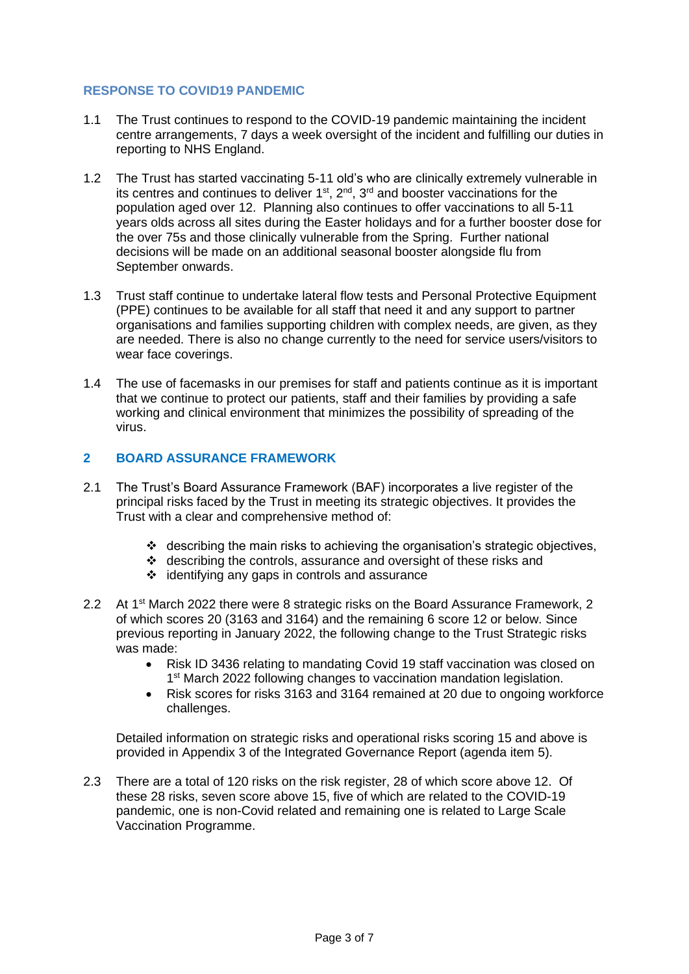## **RESPONSE TO COVID19 PANDEMIC**

- 1.1 The Trust continues to respond to the COVID-19 pandemic maintaining the incident centre arrangements, 7 days a week oversight of the incident and fulfilling our duties in reporting to NHS England.
- 1.2 The Trust has started vaccinating 5-11 old's who are clinically extremely vulnerable in its centres and continues to deliver  $1<sup>st</sup>$ ,  $2<sup>nd</sup>$ ,  $3<sup>rd</sup>$  and booster vaccinations for the population aged over 12. Planning also continues to offer vaccinations to all 5-11 years olds across all sites during the Easter holidays and for a further booster dose for the over 75s and those clinically vulnerable from the Spring. Further national decisions will be made on an additional seasonal booster alongside flu from September onwards.
- 1.3 Trust staff continue to undertake lateral flow tests and Personal Protective Equipment (PPE) continues to be available for all staff that need it and any support to partner organisations and families supporting children with complex needs, are given, as they are needed. There is also no change currently to the need for service users/visitors to wear face coverings.
- 1.4 The use of facemasks in our premises for staff and patients continue as it is important that we continue to protect our patients, staff and their families by providing a safe working and clinical environment that minimizes the possibility of spreading of the virus.

## **2 BOARD ASSURANCE FRAMEWORK**

- 2.1 The Trust's Board Assurance Framework (BAF) incorporates a live register of the principal risks faced by the Trust in meeting its strategic objectives. It provides the Trust with a clear and comprehensive method of:
	- $\cdot \cdot$  describing the main risks to achieving the organisation's strategic objectives,
	- ❖ describing the controls, assurance and oversight of these risks and
	- ❖ identifying any gaps in controls and assurance
- 2.2 At 1<sup>st</sup> March 2022 there were 8 strategic risks on the Board Assurance Framework, 2 of which scores 20 (3163 and 3164) and the remaining 6 score 12 or below. Since previous reporting in January 2022, the following change to the Trust Strategic risks was made:
	- Risk ID 3436 relating to mandating Covid 19 staff vaccination was closed on 1<sup>st</sup> March 2022 following changes to vaccination mandation legislation.
	- Risk scores for risks 3163 and 3164 remained at 20 due to ongoing workforce challenges.

Detailed information on strategic risks and operational risks scoring 15 and above is provided in Appendix 3 of the Integrated Governance Report (agenda item 5).

2.3 There are a total of 120 risks on the risk register, 28 of which score above 12. Of these 28 risks, seven score above 15, five of which are related to the COVID-19 pandemic, one is non-Covid related and remaining one is related to Large Scale Vaccination Programme.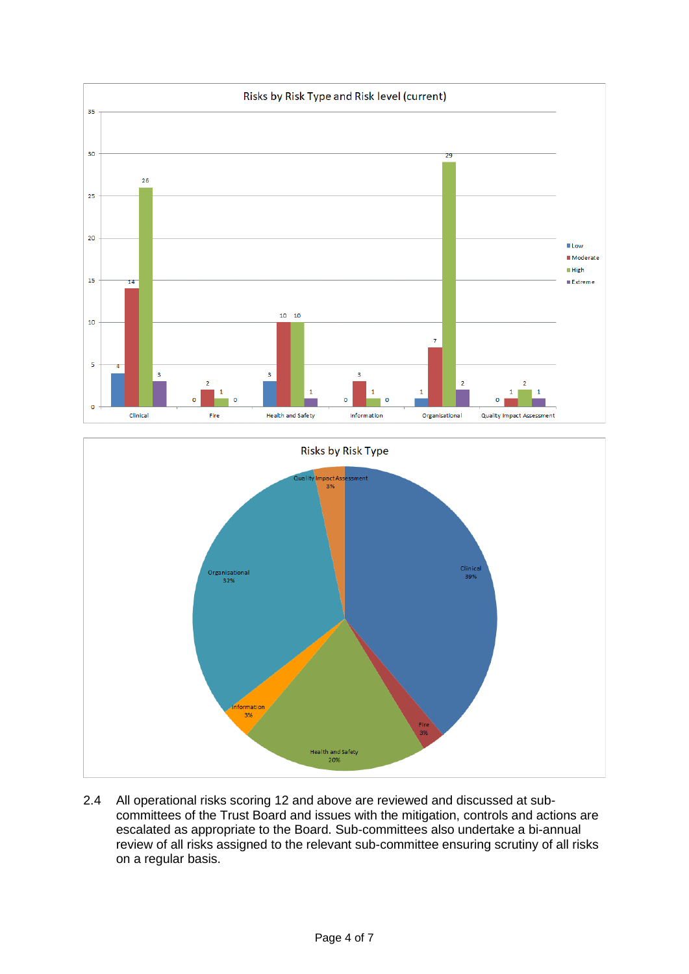



2.4 All operational risks scoring 12 and above are reviewed and discussed at subcommittees of the Trust Board and issues with the mitigation, controls and actions are escalated as appropriate to the Board. Sub-committees also undertake a bi-annual review of all risks assigned to the relevant sub-committee ensuring scrutiny of all risks on a regular basis.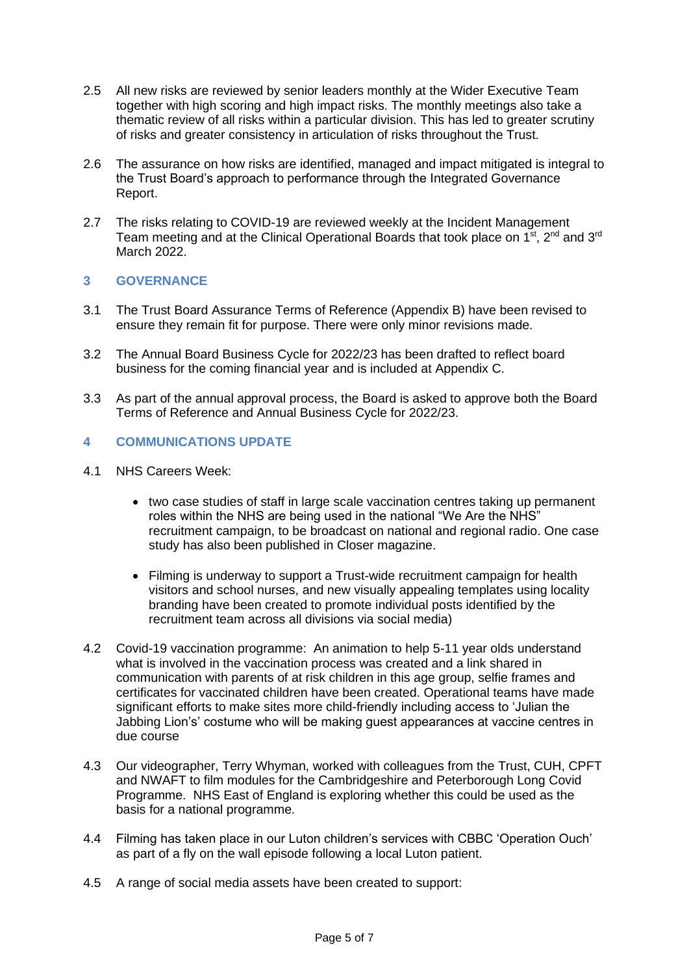- 2.5 All new risks are reviewed by senior leaders monthly at the Wider Executive Team together with high scoring and high impact risks. The monthly meetings also take a thematic review of all risks within a particular division. This has led to greater scrutiny of risks and greater consistency in articulation of risks throughout the Trust.
- 2.6 The assurance on how risks are identified, managed and impact mitigated is integral to the Trust Board's approach to performance through the Integrated Governance Report.
- 2.7 The risks relating to COVID-19 are reviewed weekly at the Incident Management Team meeting and at the Clinical Operational Boards that took place on 1<sup>st</sup>, 2<sup>nd</sup> and 3<sup>rd</sup> March 2022.

# **3 GOVERNANCE**

- 3.1 The Trust Board Assurance Terms of Reference (Appendix B) have been revised to ensure they remain fit for purpose. There were only minor revisions made.
- 3.2 The Annual Board Business Cycle for 2022/23 has been drafted to reflect board business for the coming financial year and is included at Appendix C.
- 3.3 As part of the annual approval process, the Board is asked to approve both the Board Terms of Reference and Annual Business Cycle for 2022/23.

# **4 COMMUNICATIONS UPDATE**

- 4.1 NHS Careers Week:
	- two case studies of staff in large scale vaccination centres taking up permanent roles within the NHS are being used in the national "We Are the NHS" recruitment campaign, to be broadcast on national and regional radio. One case study has also been published in Closer magazine.
	- Filming is underway to support a Trust-wide recruitment campaign for health visitors and school nurses, and new visually appealing templates using locality branding have been created to promote individual posts identified by the recruitment team across all divisions via social media)
- 4.2 Covid-19 vaccination programme: An animation to help 5-11 year olds understand what is involved in the vaccination process was created and a link shared in communication with parents of at risk children in this age group, selfie frames and certificates for vaccinated children have been created. Operational teams have made significant efforts to make sites more child-friendly including access to 'Julian the Jabbing Lion's' costume who will be making guest appearances at vaccine centres in due course
- 4.3 Our videographer, Terry Whyman, worked with colleagues from the Trust, CUH, CPFT and NWAFT to film modules for the Cambridgeshire and Peterborough Long Covid Programme. NHS East of England is exploring whether this could be used as the basis for a national programme.
- 4.4 Filming has taken place in our Luton children's services with CBBC 'Operation Ouch' as part of a fly on the wall episode following a local Luton patient.
- 4.5 A range of social media assets have been created to support: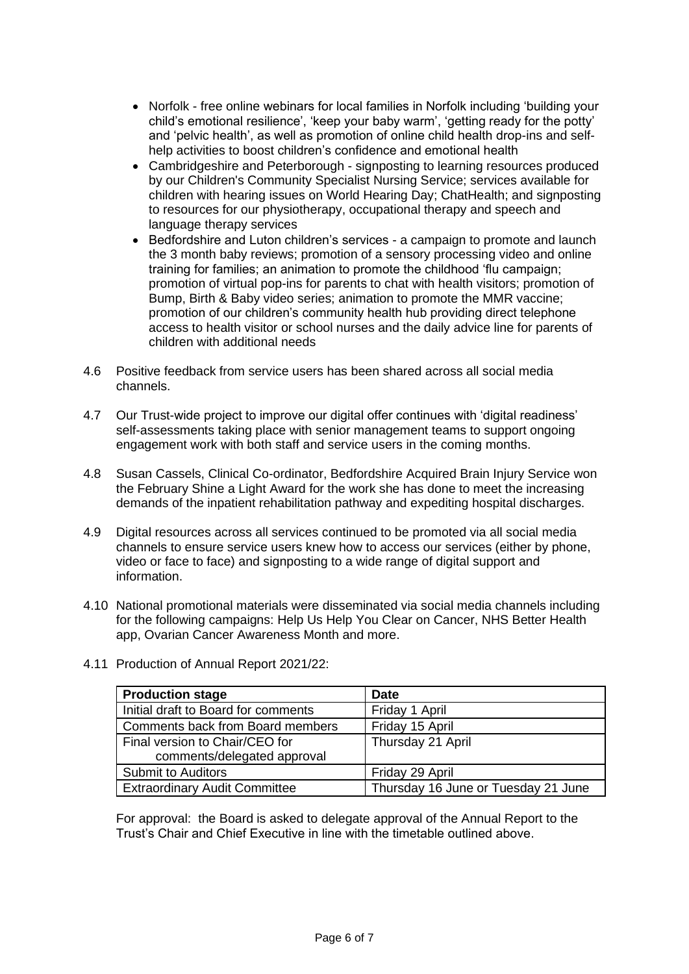- Norfolk free online webinars for local families in Norfolk including 'building your child's emotional resilience', 'keep your baby warm', 'getting ready for the potty' and 'pelvic health', as well as promotion of online child health drop-ins and selfhelp activities to boost children's confidence and emotional health
- Cambridgeshire and Peterborough signposting to learning resources produced by our Children's Community Specialist Nursing Service; services available for children with hearing issues on World Hearing Day; ChatHealth; and signposting to resources for our physiotherapy, occupational therapy and speech and language therapy services
- Bedfordshire and Luton children's services a campaign to promote and launch the 3 month baby reviews; promotion of a sensory processing video and online training for families; an animation to promote the childhood 'flu campaign; promotion of virtual pop-ins for parents to chat with health visitors; promotion of Bump, Birth & Baby video series; animation to promote the MMR vaccine; promotion of our children's community health hub providing direct telephone access to health visitor or school nurses and the daily advice line for parents of children with additional needs
- 4.6 Positive feedback from service users has been shared across all social media channels.
- 4.7 Our Trust-wide project to improve our digital offer continues with 'digital readiness' self-assessments taking place with senior management teams to support ongoing engagement work with both staff and service users in the coming months.
- 4.8 Susan Cassels, Clinical Co-ordinator, Bedfordshire Acquired Brain Injury Service won the February Shine a Light Award for the work she has done to meet the increasing demands of the inpatient rehabilitation pathway and expediting hospital discharges.
- 4.9 Digital resources across all services continued to be promoted via all social media channels to ensure service users knew how to access our services (either by phone, video or face to face) and signposting to a wide range of digital support and information.
- 4.10 National promotional materials were disseminated via social media channels including for the following campaigns: Help Us Help You Clear on Cancer, NHS Better Health app, Ovarian Cancer Awareness Month and more.
	- **Production stage by a stage of the Production stage of the Date** Initial draft to Board for comments Friday 1 April Comments back from Board members | Friday 15 April Final version to Chair/CEO for comments/delegated approval Thursday 21 April Submit to Auditors **Friday 29 April** Extraordinary Audit Committee Thursday 16 June or Tuesday 21 June
- 4.11 Production of Annual Report 2021/22:

For approval: the Board is asked to delegate approval of the Annual Report to the Trust's Chair and Chief Executive in line with the timetable outlined above.